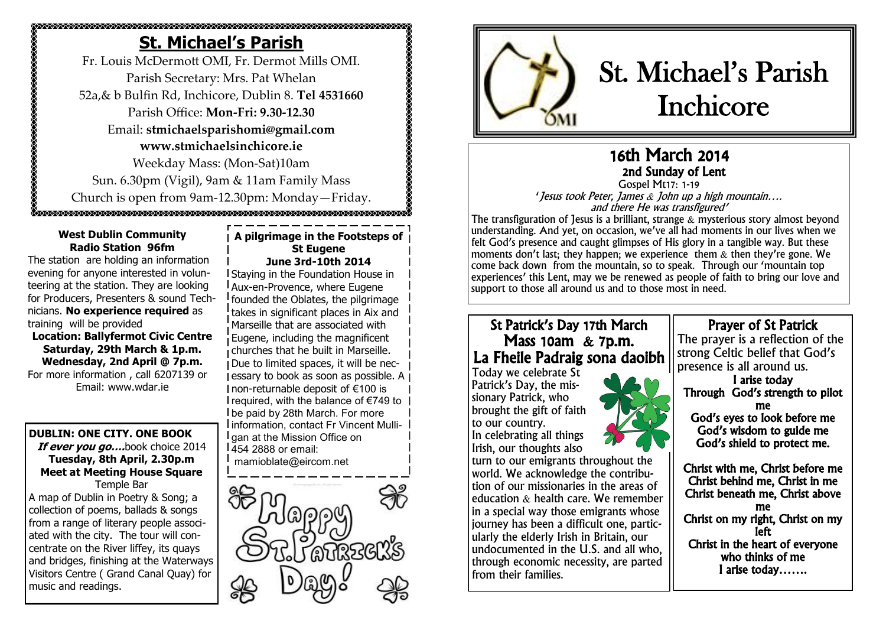# **St. Michael's Parish**

Fr. Louis McDermott OMI, Fr. Dermot Mills OMI. Parish Secretary: Mrs. Pat Whelan 52a,& b Bulfin Rd, Inchicore, Dublin 8. **Tel 4531660** Parish Office: **Mon-Fri: 9.30-12.30** Email: **stmichaelsparishomi@gmail.com www.stmichaelsinchicore.ie** Weekday Mass: (Mon-Sat)10am Sun. 6.30pm (Vigil), 9am & 11am Family Mass Church is open from 9am-12.30pm: Monday—Friday.

0.<br>Oznaka za zakona za zakona za zakona za zakona za zakona za zakona za zakona za zakona za zakona za zakona za

#### **West Dublin Community Radio Station 96fm**

The station are holding an information evening for anyone interested in volunteering at the station. They are looking for Producers, Presenters & sound Technicians. **No experience required** as training will be provided

**Location: Ballyfermot Civic Centre Saturday, 29th March & 1p.m. Wednesday, 2nd April @ 7p.m.** For more information , call 6207139 or Email: www.wdar.ie

# **DUBLIN: ONE CITY. ONE BOOK**

**If ever you go….**book choice 2014 **Tuesday, 8th April, 2.30p.m Meet at Meeting House Square** Temple Bar A map of Dublin in Poetry & Song; a

collection of poems, ballads & songs from a range of literary people associated with the city. The tour will concentrate on the River liffey, its quays and bridges, finishing at the Waterways Visitors Centre ( Grand Canal Quay) for music and readings.

#### **A pilgrimage in the Footsteps of St Eugene June 3rd-10th 2014**

Staying in the Foundation House in Aux-en-Provence, where Eugene founded the Oblates, the pilgrimage takes in significant places in Aix and Marseille that are associated with Eugene, including the magnificent churches that he built in Marseille. Due to limited spaces, it will be necessary to book as soon as possible. A non-returnable deposit of €100 is I required, with the balance of €749 to be paid by 28th March. For more information, contact Fr Vincent Mullil gan at the Mission Office on 454 2888 or email: mamioblate@eircom.net





# St. Michael's Parish Inchicore

# 16th March 2014 2nd Sunday of Lent Gospel Mt17: 1-19

'Jesus took Peter, James & John up a high mountain…. and there He was transfigured'

The transfiguration of Jesus is a brilliant, strange  $\&$  mysterious story almost beyond understanding. And yet, on occasion, we've all had moments in our lives when we felt God's presence and caught glimpses of His glory in a tangible way. But these moments don't last; they happen; we experience them & then they're gone. We come back down from the mountain, so to speak. Through our 'mountain top experiences' this Lent, may we be renewed as people of faith to bring our love and support to those all around us and to those most in need.

# St Patrick's Day 17th March Mass 10am & 7p.m. La Fheile Padraig sona daoibh

Today we celebrate St Patrick's Day, the missionary Patrick, who brought the gift of faith to our country. In celebrating all things Irish, our thoughts also



turn to our emigrants throughout the world. We acknowledge the contribution of our missionaries in the areas of education  $\&$  health care. We remember in a special way those emigrants whose journey has been a difficult one, particularly the elderly Irish in Britain, our undocumented in the U.S. and all who, through economic necessity, are parted from their families.

# Prayer of St Patrick

The prayer is a reflection of the strong Celtic belief that God's presence is all around us.

I arise today Through God's strength to pilot me God's eyes to look before me God's wisdom to guide me God's shield to protect me.

Christ with me, Christ before me Christ behind me, Christ in me Christ beneath me, Christ above me Christ on my right, Christ on my left Christ in the heart of everyone who thinks of me I arise today…….